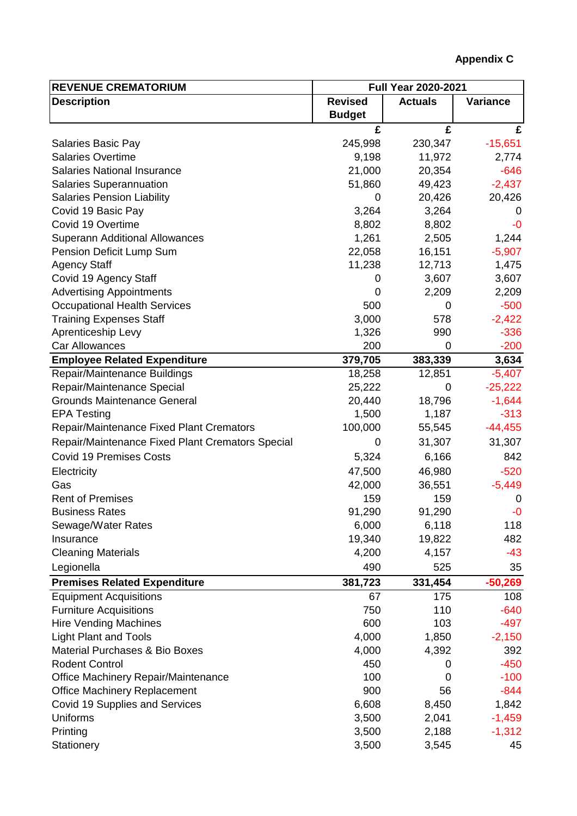| <b>REVENUE CREMATORIUM</b>                       | <b>Full Year 2020-2021</b> |                |              |
|--------------------------------------------------|----------------------------|----------------|--------------|
| <b>Description</b>                               | <b>Revised</b>             | <b>Actuals</b> | Variance     |
|                                                  | <b>Budget</b>              |                |              |
|                                                  | £                          | £              | £            |
| <b>Salaries Basic Pay</b>                        | 245,998                    | 230,347        | $-15,651$    |
| <b>Salaries Overtime</b>                         | 9,198                      | 11,972         | 2,774        |
| <b>Salaries National Insurance</b>               | 21,000                     | 20,354         | $-646$       |
| <b>Salaries Superannuation</b>                   | 51,860                     | 49,423         | $-2,437$     |
| <b>Salaries Pension Liability</b>                | 0                          | 20,426         | 20,426       |
| Covid 19 Basic Pay                               | 3,264                      | 3,264          | $\mathbf{0}$ |
| Covid 19 Overtime                                | 8,802                      | 8,802          | $-0$         |
| <b>Superann Additional Allowances</b>            | 1,261                      | 2,505          | 1,244        |
| Pension Deficit Lump Sum                         | 22,058                     | 16,151         | $-5,907$     |
| <b>Agency Staff</b>                              | 11,238                     | 12,713         | 1,475        |
| Covid 19 Agency Staff                            | 0                          | 3,607          | 3,607        |
| <b>Advertising Appointments</b>                  | 0                          | 2,209          | 2,209        |
| <b>Occupational Health Services</b>              | 500                        | 0              | $-500$       |
| <b>Training Expenses Staff</b>                   | 3,000                      | 578            | $-2,422$     |
| Aprenticeship Levy                               | 1,326                      | 990            | $-336$       |
| Car Allowances                                   | 200                        | $\overline{0}$ | $-200$       |
| <b>Employee Related Expenditure</b>              | 379,705                    | 383,339        | 3,634        |
| Repair/Maintenance Buildings                     | 18,258                     | 12,851         | $-5,407$     |
| Repair/Maintenance Special                       | 25,222                     | 0              | $-25,222$    |
| <b>Grounds Maintenance General</b>               | 20,440                     | 18,796         | $-1,644$     |
| <b>EPA Testing</b>                               | 1,500                      | 1,187          | $-313$       |
| <b>Repair/Maintenance Fixed Plant Cremators</b>  | 100,000                    | 55,545         | $-44,455$    |
| Repair/Maintenance Fixed Plant Cremators Special | 0                          | 31,307         | 31,307       |
| <b>Covid 19 Premises Costs</b>                   | 5,324                      | 6,166          | 842          |
| Electricity                                      | 47,500                     | 46,980         | $-520$       |
| Gas                                              | 42,000                     | 36,551         | $-5,449$     |
| <b>Rent of Premises</b>                          | 159                        | 159            | 0            |
| <b>Business Rates</b>                            | 91,290                     | 91,290         | $-0$         |
| Sewage/Water Rates                               | 6,000                      | 6,118          | 118          |
| Insurance                                        | 19,340                     | 19,822         | 482          |
| <b>Cleaning Materials</b>                        | 4,200                      | 4,157          | -43          |
| Legionella                                       | 490                        | 525            | 35           |
|                                                  |                            |                |              |
| <b>Premises Related Expenditure</b>              | 381,723                    | 331,454        | $-50,269$    |
| <b>Equipment Acquisitions</b>                    | 67                         | 175            | 108          |
| <b>Furniture Acquisitions</b>                    | 750                        | 110            | $-640$       |
| <b>Hire Vending Machines</b>                     | 600                        | 103            | $-497$       |
| <b>Light Plant and Tools</b>                     | 4,000                      | 1,850          | $-2,150$     |
| <b>Material Purchases &amp; Bio Boxes</b>        | 4,000                      | 4,392          | 392          |
| <b>Rodent Control</b>                            | 450                        | 0              | $-450$       |
| Office Machinery Repair/Maintenance              | 100                        | 0              | $-100$       |
| <b>Office Machinery Replacement</b>              | 900                        | 56             | $-844$       |
| Covid 19 Supplies and Services                   | 6,608                      | 8,450          | 1,842        |
| <b>Uniforms</b>                                  | 3,500                      | 2,041          | $-1,459$     |
| Printing                                         | 3,500                      | 2,188          | $-1,312$     |
| Stationery                                       | 3,500                      | 3,545          | 45           |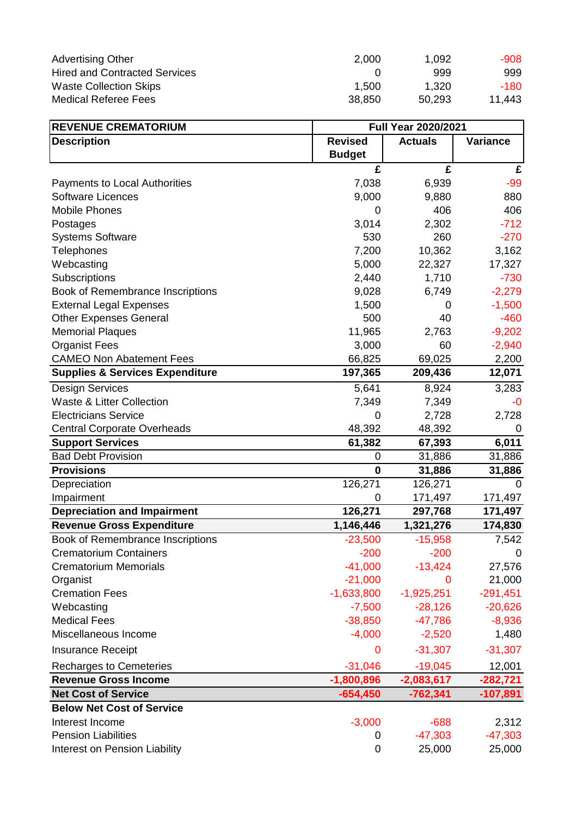| <b>Advertising Other</b>             | 2,000  | 1.092  | -908   |
|--------------------------------------|--------|--------|--------|
| <b>Hired and Contracted Services</b> |        | 999    | 999    |
| <b>Waste Collection Skips</b>        | 1.500  | 1.320  | -180   |
| <b>Medical Referee Fees</b>          | 38,850 | 50,293 | 11,443 |

| <b>REVENUE CREMATORIUM</b>                 | <b>Full Year 2020/2021</b> |                |                 |
|--------------------------------------------|----------------------------|----------------|-----------------|
| <b>Description</b>                         | <b>Revised</b>             | <b>Actuals</b> | <b>Variance</b> |
|                                            | <b>Budget</b>              |                |                 |
|                                            | £                          | £              | £               |
| <b>Payments to Local Authorities</b>       | 7,038                      | 6,939          | $-99$           |
| <b>Software Licences</b>                   | 9,000                      | 9,880          | 880             |
| <b>Mobile Phones</b>                       | 0                          | 406            | 406             |
| Postages                                   | 3,014                      | 2,302          | $-712$          |
| <b>Systems Software</b>                    | 530                        | 260            | $-270$          |
| Telephones                                 | 7,200                      | 10,362         | 3,162           |
| Webcasting                                 | 5,000                      | 22,327         | 17,327          |
| Subscriptions                              | 2,440                      | 1,710          | $-730$          |
| Book of Remembrance Inscriptions           | 9,028                      | 6,749          | $-2,279$        |
| <b>External Legal Expenses</b>             | 1,500                      | 0              | $-1,500$        |
| <b>Other Expenses General</b>              | 500                        | 40             | $-460$          |
| <b>Memorial Plaques</b>                    | 11,965                     | 2,763          | $-9,202$        |
| <b>Organist Fees</b>                       | 3,000                      | 60             | $-2,940$        |
| <b>CAMEO Non Abatement Fees</b>            | 66,825                     | 69,025         | 2,200           |
| <b>Supplies &amp; Services Expenditure</b> | 197,365                    | 209,436        | 12,071          |
| <b>Design Services</b>                     | 5,641                      | 8,924          | 3,283           |
| <b>Waste &amp; Litter Collection</b>       | 7,349                      | 7,349          | $-0$            |
| <b>Electricians Service</b>                | 0                          | 2,728          | 2,728           |
| <b>Central Corporate Overheads</b>         | 48,392                     | 48,392         | 0               |
| <b>Support Services</b>                    | 61,382                     | 67,393         | 6,011           |
| <b>Bad Debt Provision</b>                  | 0                          | 31,886         | 31,886          |
| <b>Provisions</b>                          | $\bf{0}$                   | 31,886         | 31,886          |
| Depreciation                               | $126,27\overline{1}$       | 126,271        | 0               |
| Impairment                                 | 0                          | 171,497        | 171,497         |
| <b>Depreciation and Impairment</b>         | 126,271                    | 297,768        | 171,497         |
| <b>Revenue Gross Expenditure</b>           | 1,146,446                  | 1,321,276      | 174,830         |
| Book of Remembrance Inscriptions           | $-23,500$                  | $-15,958$      | 7,542           |
| <b>Crematorium Containers</b>              | $-200$                     | $-200$         | $\Omega$        |
| <b>Crematorium Memorials</b>               | $-41,000$                  | $-13,424$      | 27,576          |
| Organist                                   | $-21,000$                  | $\Omega$       | 21,000          |
| <b>Cremation Fees</b>                      | $-1,633,800$               | $-1,925,251$   | $-291,451$      |
| Webcasting                                 | $-7,500$                   | $-28,126$      | $-20,626$       |
| <b>Medical Fees</b>                        | $-38,850$                  | $-47,786$      | $-8,936$        |
| Miscellaneous Income                       | $-4,000$                   | $-2,520$       | 1,480           |
| <b>Insurance Receipt</b>                   | 0                          | $-31,307$      | $-31,307$       |
| <b>Recharges to Cemeteries</b>             | $-31,046$                  | $-19,045$      | 12,001          |
| <b>Revenue Gross Income</b>                | $-1,800,896$               | $-2,083,617$   | $-282,721$      |
| <b>Net Cost of Service</b>                 | $-654,450$                 | $-762,341$     | $-107,891$      |
| <b>Below Net Cost of Service</b>           |                            |                |                 |
| Interest Income                            | $-3,000$                   | $-688$         | 2,312           |
| <b>Pension Liabilities</b>                 | 0                          | $-47,303$      | $-47,303$       |
| Interest on Pension Liability              | 0                          | 25,000         | 25,000          |